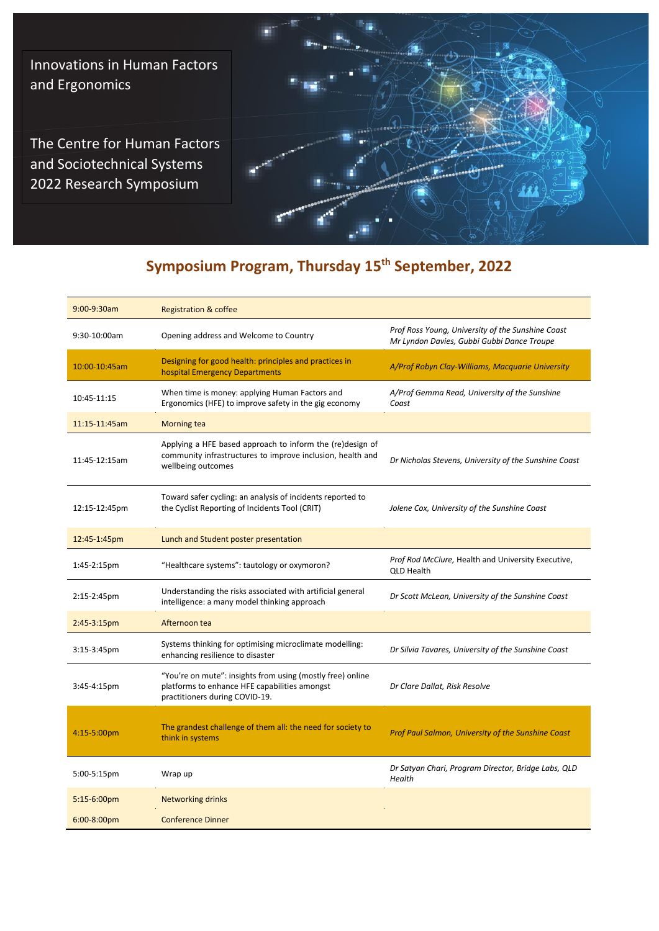Innovations in Human Factors and Ergonomics

The Centre for Human Factors and Sociotechnical Systems 2022 Research Symposium



# **Symposium Program, Thursday 15th September, 2022**

| 9:00-9:30am   | <b>Registration &amp; coffee</b>                                                                                                              |                                                                                                 |
|---------------|-----------------------------------------------------------------------------------------------------------------------------------------------|-------------------------------------------------------------------------------------------------|
| 9:30-10:00am  | Opening address and Welcome to Country                                                                                                        | Prof Ross Young, University of the Sunshine Coast<br>Mr Lyndon Davies, Gubbi Gubbi Dance Troupe |
| 10:00-10:45am | Designing for good health: principles and practices in<br>hospital Emergency Departments                                                      | A/Prof Robyn Clay-Williams, Macquarie University                                                |
| 10:45-11:15   | When time is money: applying Human Factors and<br>Ergonomics (HFE) to improve safety in the gig economy                                       | A/Prof Gemma Read, University of the Sunshine<br>Coast                                          |
| 11:15-11:45am | <b>Morning tea</b>                                                                                                                            |                                                                                                 |
| 11:45-12:15am | Applying a HFE based approach to inform the (re)design of<br>community infrastructures to improve inclusion, health and<br>wellbeing outcomes | Dr Nicholas Stevens, University of the Sunshine Coast                                           |
| 12:15-12:45pm | Toward safer cycling: an analysis of incidents reported to<br>the Cyclist Reporting of Incidents Tool (CRIT)                                  | Jolene Cox, University of the Sunshine Coast                                                    |
| 12:45-1:45pm  | Lunch and Student poster presentation                                                                                                         |                                                                                                 |
| 1:45-2:15pm   | "Healthcare systems": tautology or oxymoron?                                                                                                  | Prof Rod McClure, Health and University Executive,<br>QLD Health                                |
| 2:15-2:45pm   | Understanding the risks associated with artificial general<br>intelligence: a many model thinking approach                                    | Dr Scott McLean, University of the Sunshine Coast                                               |
| $2:45-3:15pm$ | Afternoon tea                                                                                                                                 |                                                                                                 |
| 3:15-3:45pm   | Systems thinking for optimising microclimate modelling:<br>enhancing resilience to disaster                                                   | Dr Silvia Tavares, University of the Sunshine Coast                                             |
| 3:45-4:15pm   | "You're on mute": insights from using (mostly free) online<br>platforms to enhance HFE capabilities amongst<br>practitioners during COVID-19. | Dr Clare Dallat, Risk Resolve                                                                   |
| 4:15-5:00pm   | The grandest challenge of them all: the need for society to<br>think in systems                                                               | Prof Paul Salmon, University of the Sunshine Coast                                              |
| 5:00-5:15pm   | Wrap up                                                                                                                                       | Dr Satyan Chari, Program Director, Bridge Labs, QLD<br>Health                                   |
| 5:15-6:00pm   | <b>Networking drinks</b>                                                                                                                      |                                                                                                 |
| 6:00-8:00pm   | <b>Conference Dinner</b>                                                                                                                      |                                                                                                 |